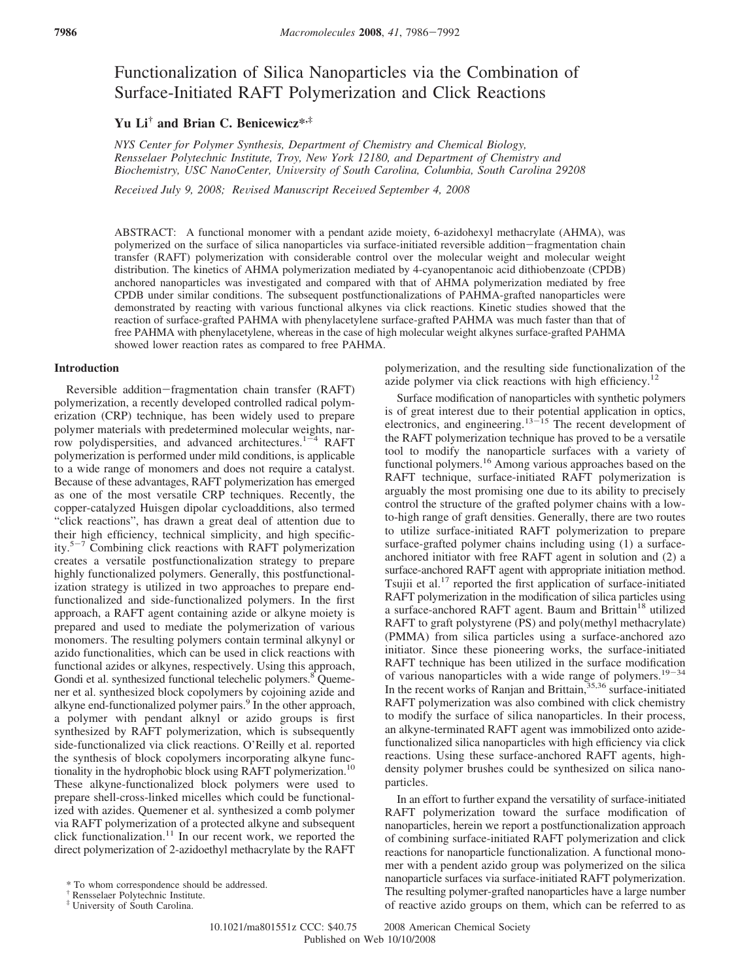# Functionalization of Silica Nanoparticles via the Combination of Surface-Initiated RAFT Polymerization and Click Reactions

## **Yu Li† and Brian C. Benicewicz\*,‡**

*NYS Center for Polymer Synthesis, Department of Chemistry and Chemical Biology, Rensselaer Polytechnic Institute, Troy, New York 12180, and Department of Chemistry and Biochemistry, USC NanoCenter, Uni*V*ersity of South Carolina, Columbia, South Carolina 29208*

*Received July 9, 2008; Revised Manuscript Received September 4, 2008* 

ABSTRACT: A functional monomer with a pendant azide moiety, 6-azidohexyl methacrylate (AHMA), was polymerized on the surface of silica nanoparticles via surface-initiated reversible addition-fragmentation chain transfer (RAFT) polymerization with considerable control over the molecular weight and molecular weight distribution. The kinetics of AHMA polymerization mediated by 4-cyanopentanoic acid dithiobenzoate (CPDB) anchored nanoparticles was investigated and compared with that of AHMA polymerization mediated by free CPDB under similar conditions. The subsequent postfunctionalizations of PAHMA-grafted nanoparticles were demonstrated by reacting with various functional alkynes via click reactions. Kinetic studies showed that the reaction of surface-grafted PAHMA with phenylacetylene surface-grafted PAHMA was much faster than that of free PAHMA with phenylacetylene, whereas in the case of high molecular weight alkynes surface-grafted PAHMA showed lower reaction rates as compared to free PAHMA.

#### **Introduction**

Reversible addition-fragmentation chain transfer (RAFT) polymerization, a recently developed controlled radical polymerization (CRP) technique, has been widely used to prepare polymer materials with predetermined molecular weights, narrow polydispersities, and advanced architectures.<sup>1-4</sup> RAFT polymerization is performed under mild conditions, is applicable to a wide range of monomers and does not require a catalyst. Because of these advantages, RAFT polymerization has emerged as one of the most versatile CRP techniques. Recently, the copper-catalyzed Huisgen dipolar cycloadditions, also termed "click reactions", has drawn a great deal of attention due to their high efficiency, technical simplicity, and high specificity.5-<sup>7</sup> Combining click reactions with RAFT polymerization creates a versatile postfunctionalization strategy to prepare highly functionalized polymers. Generally, this postfunctionalization strategy is utilized in two approaches to prepare endfunctionalized and side-functionalized polymers. In the first approach, a RAFT agent containing azide or alkyne moiety is prepared and used to mediate the polymerization of various monomers. The resulting polymers contain terminal alkynyl or azido functionalities, which can be used in click reactions with functional azides or alkynes, respectively. Using this approach, Gondi et al. synthesized functional telechelic polymers.<sup>8</sup> Quemener et al. synthesized block copolymers by cojoining azide and alkyne end-functionalized polymer pairs.<sup>9</sup> In the other approach, a polymer with pendant alknyl or azido groups is first synthesized by RAFT polymerization, which is subsequently side-functionalized via click reactions. O'Reilly et al. reported the synthesis of block copolymers incorporating alkyne functionality in the hydrophobic block using RAFT polymerization.<sup>1</sup> These alkyne-functionalized block polymers were used to prepare shell-cross-linked micelles which could be functionalized with azides. Quemener et al. synthesized a comb polymer via RAFT polymerization of a protected alkyne and subsequent click functionalization.<sup>11</sup> In our recent work, we reported the direct polymerization of 2-azidoethyl methacrylate by the RAFT polymerization, and the resulting side functionalization of the azide polymer via click reactions with high efficiency.<sup>12</sup>

Surface modification of nanoparticles with synthetic polymers is of great interest due to their potential application in optics, electronics, and engineering.<sup>13-15</sup> The recent development of the RAFT polymerization technique has proved to be a versatile tool to modify the nanoparticle surfaces with a variety of functional polymers.<sup>16</sup> Among various approaches based on the RAFT technique, surface-initiated RAFT polymerization is arguably the most promising one due to its ability to precisely control the structure of the grafted polymer chains with a lowto-high range of graft densities. Generally, there are two routes to utilize surface-initiated RAFT polymerization to prepare surface-grafted polymer chains including using (1) a surfaceanchored initiator with free RAFT agent in solution and (2) a surface-anchored RAFT agent with appropriate initiation method. Tsujii et al.<sup>17</sup> reported the first application of surface-initiated RAFT polymerization in the modification of silica particles using a surface-anchored RAFT agent. Baum and Brittain<sup>18</sup> utilized RAFT to graft polystyrene (PS) and poly(methyl methacrylate) (PMMA) from silica particles using a surface-anchored azo initiator. Since these pioneering works, the surface-initiated RAFT technique has been utilized in the surface modification of various nanoparticles with a wide range of polymers.<sup>19-34</sup> In the recent works of Ranjan and Brittain,<sup>35,36</sup> surface-initiated RAFT polymerization was also combined with click chemistry to modify the surface of silica nanoparticles. In their process, an alkyne-terminated RAFT agent was immobilized onto azidefunctionalized silica nanoparticles with high efficiency via click reactions. Using these surface-anchored RAFT agents, highdensity polymer brushes could be synthesized on silica nanoparticles.

In an effort to further expand the versatility of surface-initiated RAFT polymerization toward the surface modification of nanoparticles, herein we report a postfunctionalization approach of combining surface-initiated RAFT polymerization and click reactions for nanoparticle functionalization. A functional monomer with a pendent azido group was polymerized on the silica nanoparticle surfaces via surface-initiated RAFT polymerization. The resulting polymer-grafted nanoparticles have a large number of reactive azido groups on them, which can be referred to as

<sup>\*</sup> To whom correspondence should be addressed.

<sup>†</sup> Rensselaer Polytechnic Institute. ‡ University of South Carolina.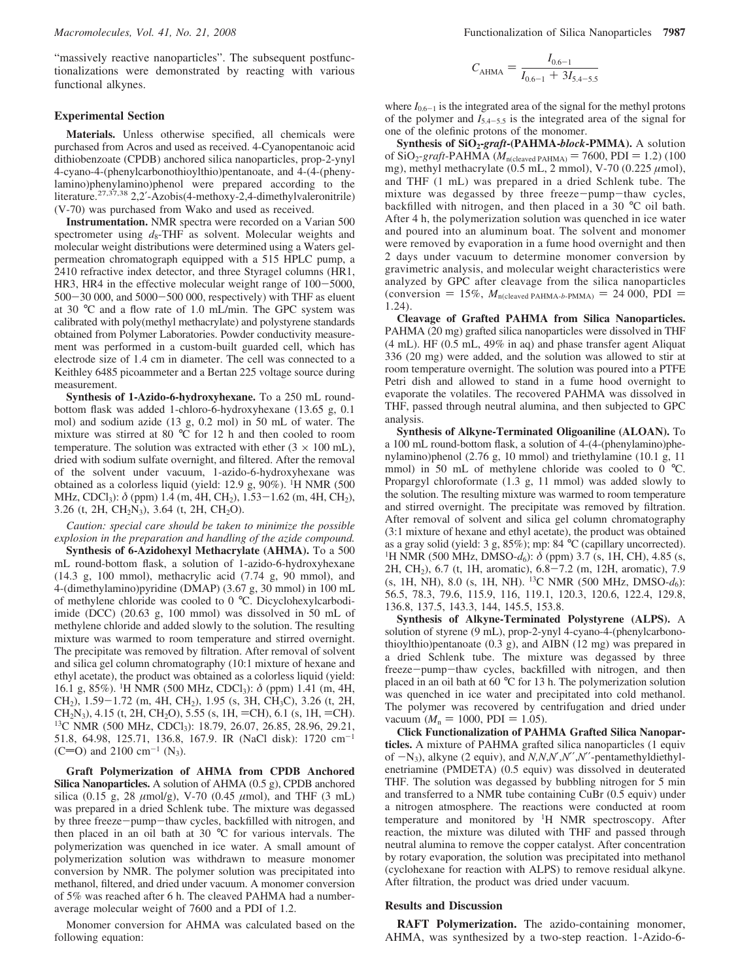"massively reactive nanoparticles". The subsequent postfunctionalizations were demonstrated by reacting with various functional alkynes.

#### **Experimental Section**

**Materials.** Unless otherwise specified, all chemicals were purchased from Acros and used as received. 4-Cyanopentanoic acid dithiobenzoate (CPDB) anchored silica nanoparticles, prop-2-ynyl 4-cyano-4-(phenylcarbonothioylthio)pentanoate, and 4-(4-(phenylamino)phenylamino)phenol were prepared according to the literature.27,37,38 2,2′-Azobis(4-methoxy-2,4-dimethylvaleronitrile) (V-70) was purchased from Wako and used as received.

**Instrumentation.** NMR spectra were recorded on a Varian 500 spectrometer using  $d_8$ -THF as solvent. Molecular weights and molecular weight distributions were determined using a Waters gelpermeation chromatograph equipped with a 515 HPLC pump, a 2410 refractive index detector, and three Styragel columns (HR1, HR3, HR4 in the effective molecular weight range of 100-5000, <sup>500</sup>-30 000, and 5000-500 000, respectively) with THF as eluent at 30 °C and a flow rate of 1.0 mL/min. The GPC system was calibrated with poly(methyl methacrylate) and polystyrene standards obtained from Polymer Laboratories. Powder conductivity measurement was performed in a custom-built guarded cell, which has electrode size of 1.4 cm in diameter. The cell was connected to a Keithley 6485 picoammeter and a Bertan 225 voltage source during measurement.

**Synthesis of 1-Azido-6-hydroxyhexane.** To a 250 mL roundbottom flask was added 1-chloro-6-hydroxyhexane (13.65 g, 0.1 mol) and sodium azide (13 g, 0.2 mol) in 50 mL of water. The mixture was stirred at 80 °C for 12 h and then cooled to room temperature. The solution was extracted with ether  $(3 \times 100 \text{ mL})$ , dried with sodium sulfate overnight, and filtered. After the removal of the solvent under vacuum, 1-azido-6-hydroxyhexane was obtained as a colorless liquid (yield: 12.9 g, 90%). <sup>1</sup>H NMR (500 MHz, CDCl<sub>3</sub>): δ (ppm) 1.4 (m, 4H, CH<sub>2</sub>), 1.53-1.62 (m, 4H, CH<sub>2</sub>), 3.26 (t, 2H, CH2N3), 3.64 (t, 2H, CH2O).

*Caution: special care should be taken to minimize the possible explosion in the preparation and handling of the azide compound.*

**Synthesis of 6-Azidohexyl Methacrylate (AHMA).** To a 500 mL round-bottom flask, a solution of 1-azido-6-hydroxyhexane (14.3 g, 100 mmol), methacrylic acid (7.74 g, 90 mmol), and 4-(dimethylamino)pyridine (DMAP) (3.67 g, 30 mmol) in 100 mL of methylene chloride was cooled to 0 °C. Dicyclohexylcarbodiimide (DCC) (20.63 g, 100 mmol) was dissolved in 50 mL of methylene chloride and added slowly to the solution. The resulting mixture was warmed to room temperature and stirred overnight. The precipitate was removed by filtration. After removal of solvent and silica gel column chromatography (10:1 mixture of hexane and ethyl acetate), the product was obtained as a colorless liquid (yield: 16.1 g, 85%). 1H NMR (500 MHz, CDCl3): *δ* (ppm) 1.41 (m, 4H, CH<sub>2</sub>), 1.59–1.72 (m, 4H, CH<sub>2</sub>), 1.95 (s, 3H, CH<sub>3</sub>C), 3.26 (t, 2H, CH<sub>2</sub>N<sub>3</sub>), 4.15 (t, 2H, CH<sub>2</sub>O), 5.55 (s, 1H, =CH), 6.1 (s, 1H, =CH). <sup>13</sup>C NMR (500 MHz, CDCl<sub>3</sub>): 18.79, 26.07, 26.85, 28.96, 29.21, 51.8, 64.98, 125.71, 136.8, 167.9. IR (NaCl disk): 1720 cm-<sup>1</sup> (C=O) and 2100 cm<sup>-1</sup> (N<sub>3</sub>).

**Graft Polymerization of AHMA from CPDB Anchored Silica Nanoparticles.** A solution of AHMA (0.5 g), CPDB anchored silica (0.15 g, 28 *µ*mol/g), V-70 (0.45 *µ*mol), and THF (3 mL) was prepared in a dried Schlenk tube. The mixture was degassed by three freeze-pump-thaw cycles, backfilled with nitrogen, and then placed in an oil bath at 30 °C for various intervals. The polymerization was quenched in ice water. A small amount of polymerization solution was withdrawn to measure monomer conversion by NMR. The polymer solution was precipitated into methanol, filtered, and dried under vacuum. A monomer conversion of 5% was reached after 6 h. The cleaved PAHMA had a numberaverage molecular weight of 7600 and a PDI of 1.2.

Monomer conversion for AHMA was calculated based on the following equation:

$$
C_{\text{AHMA}} = \frac{I_{0.6-1}}{I_{0.6-1} + 3I_{5.4-5.5}}
$$

where  $I_{0.6-1}$  is the integrated area of the signal for the methyl protons of the polymer and *<sup>I</sup>*5.4-5.5 is the integrated area of the signal for one of the olefinic protons of the monomer.

**Synthesis of SiO2-***graft***-(PAHMA-***block***-PMMA).** A solution of  $SiO_2$ -*graft*-PAHMA ( $M_{n$ (cleaved PAHMA) = 7600, PDI = 1.2) (100 mg), methyl methacrylate (0.5 mL, 2 mmol), V-70 (0.225 *µ*mol), and THF (1 mL) was prepared in a dried Schlenk tube. The mixture was degassed by three freeze-pump-thaw cycles, backfilled with nitrogen, and then placed in a 30 °C oil bath. After 4 h, the polymerization solution was quenched in ice water and poured into an aluminum boat. The solvent and monomer were removed by evaporation in a fume hood overnight and then 2 days under vacuum to determine monomer conversion by gravimetric analysis, and molecular weight characteristics were analyzed by GPC after cleavage from the silica nanoparticles (conversion = 15%,  $M_{n$ <sub>(cleaved PAHMA-*b*-PMMA) = 24 000, PDI =</sub> 1.24).

**Cleavage of Grafted PAHMA from Silica Nanoparticles.** PAHMA (20 mg) grafted silica nanoparticles were dissolved in THF (4 mL). HF (0.5 mL, 49% in aq) and phase transfer agent Aliquat 336 (20 mg) were added, and the solution was allowed to stir at room temperature overnight. The solution was poured into a PTFE Petri dish and allowed to stand in a fume hood overnight to evaporate the volatiles. The recovered PAHMA was dissolved in THF, passed through neutral alumina, and then subjected to GPC analysis.

**Synthesis of Alkyne-Terminated Oligoaniline (ALOAN).** To a 100 mL round-bottom flask, a solution of 4-(4-(phenylamino)phenylamino)phenol (2.76 g, 10 mmol) and triethylamine (10.1 g, 11 mmol) in 50 mL of methylene chloride was cooled to 0 °C. Propargyl chloroformate (1.3 g, 11 mmol) was added slowly to the solution. The resulting mixture was warmed to room temperature and stirred overnight. The precipitate was removed by filtration. After removal of solvent and silica gel column chromatography (3:1 mixture of hexane and ethyl acetate), the product was obtained as a gray solid (yield: 3 g, 85%); mp: 84 °C (capillary uncorrected). <sup>1</sup>H NMR (500 MHz, DMSO-*d*<sub>6</sub>):  $\delta$  (ppm) 3.7 (s, 1H, CH), 4.85 (s, 2H, CH2), 6.7 (t, 1H, aromatic), 6.8-7.2 (m, 12H, aromatic), 7.9 (s, 1H, NH), 8.0 (s, 1H, NH). 13C NMR (500 MHz, DMSO-*d*6): 56.5, 78.3, 79.6, 115.9, 116, 119.1, 120.3, 120.6, 122.4, 129.8, 136.8, 137.5, 143.3, 144, 145.5, 153.8.

**Synthesis of Alkyne-Terminated Polystyrene (ALPS).** A solution of styrene (9 mL), prop-2-ynyl 4-cyano-4-(phenylcarbonothioylthio)pentanoate (0.3 g), and AIBN (12 mg) was prepared in a dried Schlenk tube. The mixture was degassed by three freeze-pump-thaw cycles, backfilled with nitrogen, and then placed in an oil bath at 60 °C for 13 h. The polymerization solution was quenched in ice water and precipitated into cold methanol. The polymer was recovered by centrifugation and dried under vacuum ( $M_n = 1000$ , PDI = 1.05).

**Click Functionalization of PAHMA Grafted Silica Nanoparticles.** A mixture of PAHMA grafted silica nanoparticles (1 equiv of -N3), alkyne (2 equiv), and *N,N*,*N*′,*N*′′,*N*′′-pentamethyldiethylenetriamine (PMDETA) (0.5 equiv) was dissolved in deuterated THF. The solution was degassed by bubbling nitrogen for 5 min and transferred to a NMR tube containing CuBr (0.5 equiv) under a nitrogen atmosphere. The reactions were conducted at room temperature and monitored by 1H NMR spectroscopy. After reaction, the mixture was diluted with THF and passed through neutral alumina to remove the copper catalyst. After concentration by rotary evaporation, the solution was precipitated into methanol (cyclohexane for reaction with ALPS) to remove residual alkyne. After filtration, the product was dried under vacuum.

#### **Results and Discussion**

**RAFT Polymerization.** The azido-containing monomer, AHMA, was synthesized by a two-step reaction. 1-Azido-6-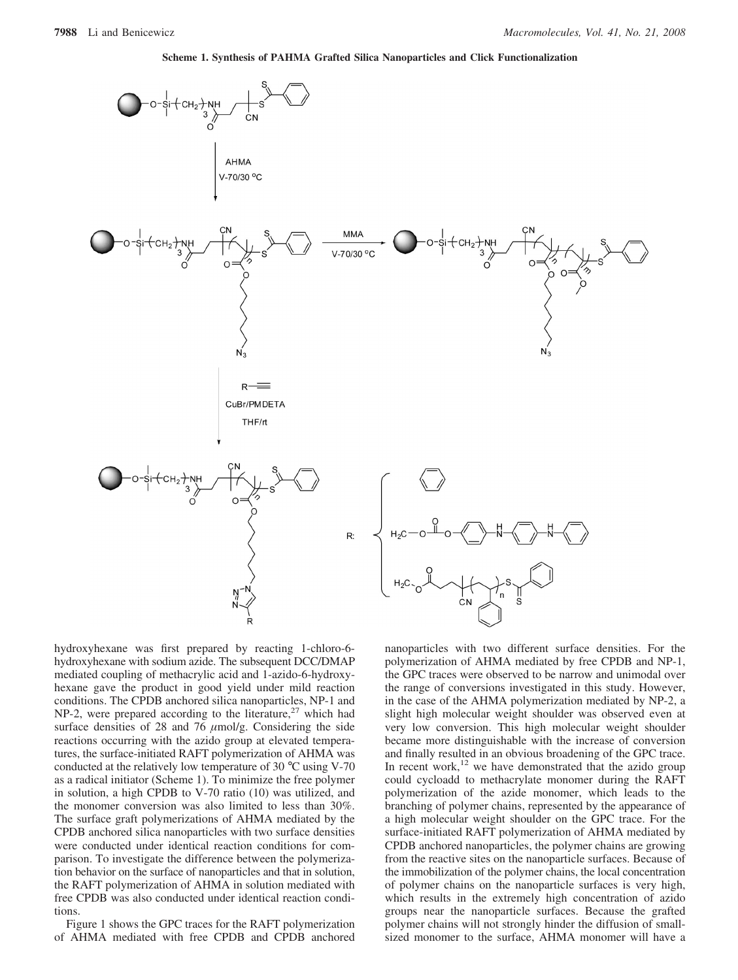#### **Scheme 1. Synthesis of PAHMA Grafted Silica Nanoparticles and Click Functionalization**



hydroxyhexane was first prepared by reacting 1-chloro-6 hydroxyhexane with sodium azide. The subsequent DCC/DMAP mediated coupling of methacrylic acid and 1-azido-6-hydroxyhexane gave the product in good yield under mild reaction conditions. The CPDB anchored silica nanoparticles, NP-1 and NP-2, were prepared according to the literature,<sup>27</sup> which had surface densities of 28 and 76  $\mu$ mol/g. Considering the side reactions occurring with the azido group at elevated temperatures, the surface-initiated RAFT polymerization of AHMA was conducted at the relatively low temperature of 30 °C using V-70 as a radical initiator (Scheme 1). To minimize the free polymer in solution, a high CPDB to V-70 ratio (10) was utilized, and the monomer conversion was also limited to less than 30%. The surface graft polymerizations of AHMA mediated by the CPDB anchored silica nanoparticles with two surface densities were conducted under identical reaction conditions for comparison. To investigate the difference between the polymerization behavior on the surface of nanoparticles and that in solution, the RAFT polymerization of AHMA in solution mediated with free CPDB was also conducted under identical reaction conditions.

Figure 1 shows the GPC traces for the RAFT polymerization of AHMA mediated with free CPDB and CPDB anchored

nanoparticles with two different surface densities. For the polymerization of AHMA mediated by free CPDB and NP-1, the GPC traces were observed to be narrow and unimodal over the range of conversions investigated in this study. However, in the case of the AHMA polymerization mediated by NP-2, a slight high molecular weight shoulder was observed even at very low conversion. This high molecular weight shoulder became more distinguishable with the increase of conversion and finally resulted in an obvious broadening of the GPC trace. In recent work, $12$  we have demonstrated that the azido group could cycloadd to methacrylate monomer during the RAFT polymerization of the azide monomer, which leads to the branching of polymer chains, represented by the appearance of a high molecular weight shoulder on the GPC trace. For the surface-initiated RAFT polymerization of AHMA mediated by CPDB anchored nanoparticles, the polymer chains are growing from the reactive sites on the nanoparticle surfaces. Because of the immobilization of the polymer chains, the local concentration of polymer chains on the nanoparticle surfaces is very high, which results in the extremely high concentration of azido groups near the nanoparticle surfaces. Because the grafted polymer chains will not strongly hinder the diffusion of smallsized monomer to the surface, AHMA monomer will have a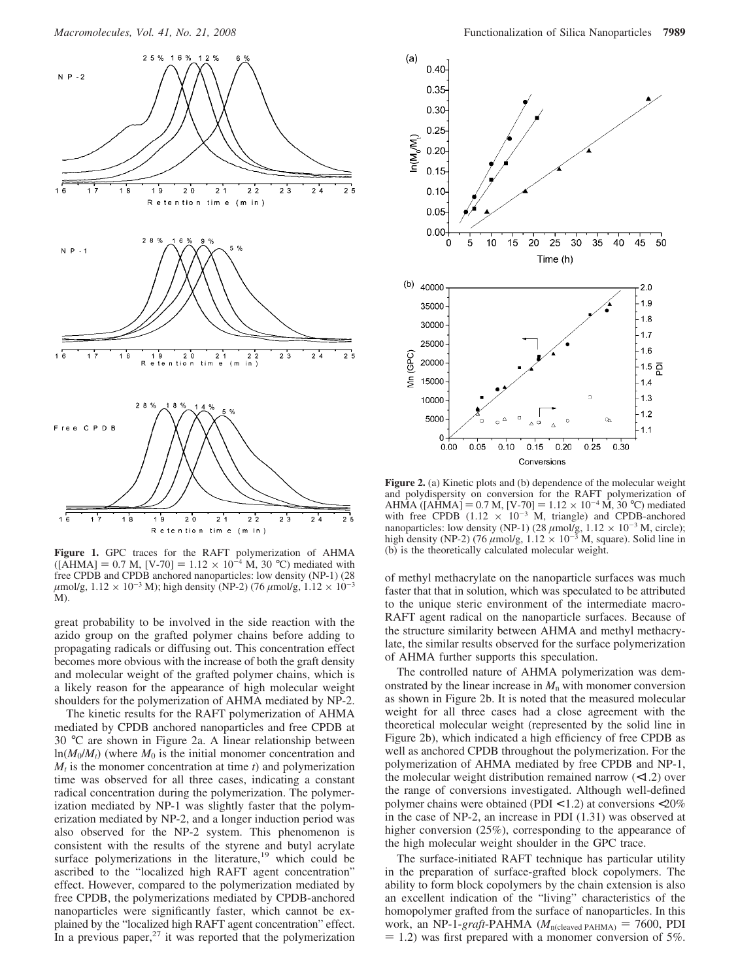

**Figure 1.** GPC traces for the RAFT polymerization of AHMA  $([AHMA] = 0.7 M, [V-70] = 1.12 \times 10^{-4} M, 30 °C)$  mediated with free CPDB and CPDB anchored nanoparticles: low density (NP-1) (28  $\mu$ mol/g, 1.12 × 10<sup>-3</sup> M); high density (NP-2) (76  $\mu$ mol/g, 1.12 × 10<sup>-3</sup> M).

great probability to be involved in the side reaction with the azido group on the grafted polymer chains before adding to propagating radicals or diffusing out. This concentration effect becomes more obvious with the increase of both the graft density and molecular weight of the grafted polymer chains, which is a likely reason for the appearance of high molecular weight shoulders for the polymerization of AHMA mediated by NP-2.

The kinetic results for the RAFT polymerization of AHMA mediated by CPDB anchored nanoparticles and free CPDB at 30 °C are shown in Figure 2a. A linear relationship between  $ln(M_0/M_t)$  (where  $M_0$  is the initial monomer concentration and  $M_t$  is the monomer concentration at time  $t$ ) and polymerization time was observed for all three cases, indicating a constant radical concentration during the polymerization. The polymerization mediated by NP-1 was slightly faster that the polymerization mediated by NP-2, and a longer induction period was also observed for the NP-2 system. This phenomenon is consistent with the results of the styrene and butyl acrylate surface polymerizations in the literature,<sup>19</sup> which could be ascribed to the "localized high RAFT agent concentration" effect. However, compared to the polymerization mediated by free CPDB, the polymerizations mediated by CPDB-anchored nanoparticles were significantly faster, which cannot be explained by the "localized high RAFT agent concentration" effect. In a previous paper, $^{27}$  it was reported that the polymerization



**Figure 2.** (a) Kinetic plots and (b) dependence of the molecular weight and polydispersity on conversion for the RAFT polymerization of AHMA ([AHMA] = 0.7 M, [V-70] = 1.12  $\times$  10<sup>-4</sup> M, 30 °C) mediated with free CPDB  $(1.12 \times 10^{-3} \text{ M}, \text{triangle})$  and CPDB-anchored nanoparticles: low density (NP-1) (28  $\mu$ mol/g,  $1.12 \times 10^{-3}$  M, circle); high density (NP-2) (76  $\mu$ mol/g,  $1.12 \times 10^{-3}$  M, square). Solid line in (b) is the theoretically calculated molecular weight.

of methyl methacrylate on the nanoparticle surfaces was much faster that that in solution, which was speculated to be attributed to the unique steric environment of the intermediate macro-RAFT agent radical on the nanoparticle surfaces. Because of the structure similarity between AHMA and methyl methacrylate, the similar results observed for the surface polymerization of AHMA further supports this speculation.

The controlled nature of AHMA polymerization was demonstrated by the linear increase in  $M_n$  with monomer conversion as shown in Figure 2b. It is noted that the measured molecular weight for all three cases had a close agreement with the theoretical molecular weight (represented by the solid line in Figure 2b), which indicated a high efficiency of free CPDB as well as anchored CPDB throughout the polymerization. For the polymerization of AHMA mediated by free CPDB and NP-1, the molecular weight distribution remained narrow (<1.2) over the range of conversions investigated. Although well-defined polymer chains were obtained (PDI < 1.2) at conversions <20% in the case of NP-2, an increase in PDI (1.31) was observed at higher conversion (25%), corresponding to the appearance of the high molecular weight shoulder in the GPC trace.

The surface-initiated RAFT technique has particular utility in the preparation of surface-grafted block copolymers. The ability to form block copolymers by the chain extension is also an excellent indication of the "living" characteristics of the homopolymer grafted from the surface of nanoparticles. In this work, an NP-1-*graft*-PAHMA  $(M_{n$ (cleaved PAHMA) = 7600, PDI  $= 1.2$ ) was first prepared with a monomer conversion of 5%.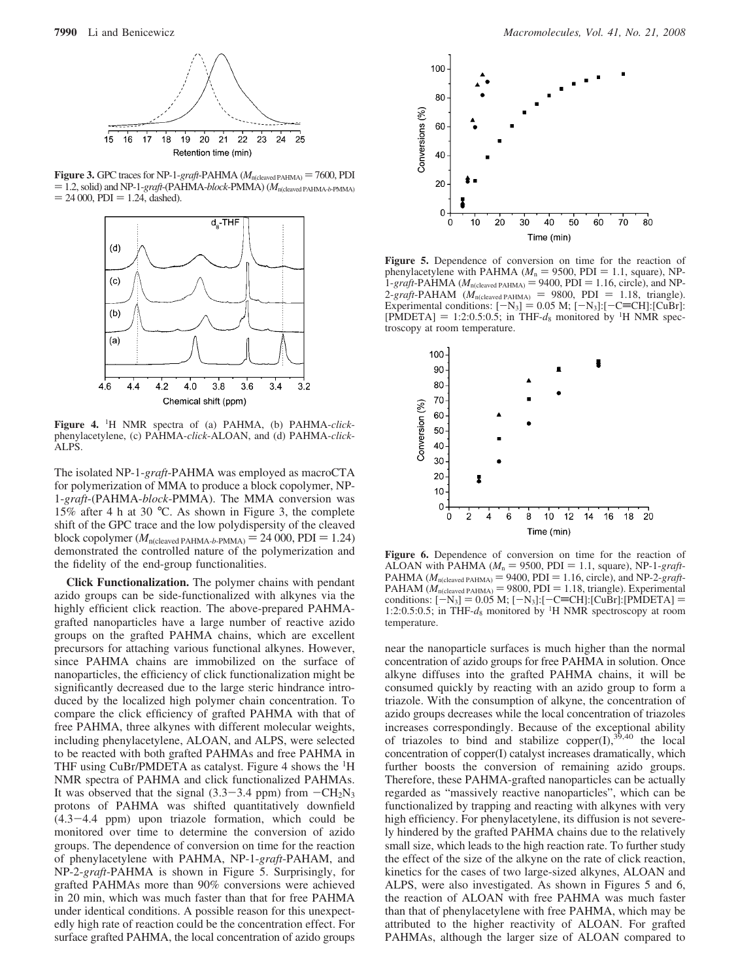

**Figure 3.** GPC traces for NP-1- $graft$ -PAHMA ( $M_{n$ (cleaved PAHMA)  $= 7600$ , PDI  $=$  1.2, solid) and NP-1-*graft*-(PAHMA-*block*-PMMA) ( $M_{n$ (cleaved PAHMA-*b*-PMMA)  $= 24 000$ , PDI  $= 1.24$ , dashed).



**Figure 4.** <sup>1</sup> H NMR spectra of (a) PAHMA, (b) PAHMA-*click*phenylacetylene, (c) PAHMA-*click*-ALOAN, and (d) PAHMA-*click*-ALPS.

The isolated NP-1-*graft*-PAHMA was employed as macroCTA for polymerization of MMA to produce a block copolymer, NP-1-*graft*-(PAHMA-*block*-PMMA). The MMA conversion was 15% after 4 h at 30 °C. As shown in Figure 3, the complete shift of the GPC trace and the low polydispersity of the cleaved block copolymer  $(M_{n$ <sup>(cleaved PAHMA-*b*-PMMA) = 24 000, PDI = 1.24)</sup> demonstrated the controlled nature of the polymerization and the fidelity of the end-group functionalities.

**Click Functionalization.** The polymer chains with pendant azido groups can be side-functionalized with alkynes via the highly efficient click reaction. The above-prepared PAHMAgrafted nanoparticles have a large number of reactive azido groups on the grafted PAHMA chains, which are excellent precursors for attaching various functional alkynes. However, since PAHMA chains are immobilized on the surface of nanoparticles, the efficiency of click functionalization might be significantly decreased due to the large steric hindrance introduced by the localized high polymer chain concentration. To compare the click efficiency of grafted PAHMA with that of free PAHMA, three alkynes with different molecular weights, including phenylacetylene, ALOAN, and ALPS, were selected to be reacted with both grafted PAHMAs and free PAHMA in THF using CuBr/PMDETA as catalyst. Figure 4 shows the <sup>1</sup>H NMR spectra of PAHMA and click functionalized PAHMAs. It was observed that the signal  $(3.3-3.4$  ppm) from  $-CH<sub>2</sub>N<sub>3</sub>$ protons of PAHMA was shifted quantitatively downfield (4.3-4.4 ppm) upon triazole formation, which could be monitored over time to determine the conversion of azido groups. The dependence of conversion on time for the reaction of phenylacetylene with PAHMA, NP-1-*graft*-PAHAM, and NP-2-*graft*-PAHMA is shown in Figure 5. Surprisingly, for grafted PAHMAs more than 90% conversions were achieved in 20 min, which was much faster than that for free PAHMA under identical conditions. A possible reason for this unexpectedly high rate of reaction could be the concentration effect. For surface grafted PAHMA, the local concentration of azido groups



**Figure 5.** Dependence of conversion on time for the reaction of phenylacetylene with PAHMA  $(M_n = 9500, \text{PDI} = 1.1, \text{ square})$ , NPphenylacetylene with PAHMA  $(M_n = 9500, \text{ PDI} = 1.1, \text{ square})$ , NP-<br>1-*oraft*-PAHMA  $(M_{\text{e}(\text{bound PAHMA})} = 9400, \text{ PDI} = 1.16, \text{ circle})$ , and NP- $1$ -*graft*-PAHMA ( $M_{n$ (cleaved PAHMA) = 9400, PDI = 1.16, circle), and NP-<br>2-*oraft*-PAHAM ( $M_{n}$ (cleaved PAHMA) = 9800, PDI = 1.18, triangle) 2-*graft*-PAHAM  $(M_{n$ (cleaved PAHMA) = 9800, PDI = 1.18, triangle).<br>Experimental conditions:  $[-N_3] = 0.05$  M;  $[-N_3]$ : $[-C\equiv CH]$ :[CuBr]:<br>[PMDETA] = 1:2:0.5:0.5: in THF-*d*<sub>s</sub> monitored by <sup>1</sup>H NMR spec-[PMDETA] = 1:2:0.5:0.5; in THF- $d_8$  monitored by <sup>1</sup>H NMR spec-<br>troscopy at room temperature. troscopy at room temperature.



**Figure 6.** Dependence of conversion on time for the reaction of ALOAN with PAHMA ( $M_n = 9500$ , PDI = 1.1, square), NP-1-*graft*-PAHMA  $(M_{n$ (cleaved PAHMA) = 9400, PDI = 1.16, circle), and NP-2-*graft*-PAHAM  $(M_{n$ (cleaved PAHMA) = 9800, PDI = 1.18, triangle). Experimental conditions:  $[-N_3] = 0.05$  M;  $[-N_3]$ : $[-C \equiv CH]$ :[CuBr]:[PMDETA] = 1:2:0.5:0.5; in THF- $d_8$  monitored by <sup>1</sup>H NMR spectroscopy at room temperature.

near the nanoparticle surfaces is much higher than the normal concentration of azido groups for free PAHMA in solution. Once alkyne diffuses into the grafted PAHMA chains, it will be consumed quickly by reacting with an azido group to form a triazole. With the consumption of alkyne, the concentration of azido groups decreases while the local concentration of triazoles increases correspondingly. Because of the exceptional ability of triazoles to bind and stabilize copper $(I),$ <sup>39,40</sup> the local concentration of copper(I) catalyst increases dramatically, which further boosts the conversion of remaining azido groups. Therefore, these PAHMA-grafted nanoparticles can be actually regarded as "massively reactive nanoparticles", which can be functionalized by trapping and reacting with alkynes with very high efficiency. For phenylacetylene, its diffusion is not severely hindered by the grafted PAHMA chains due to the relatively small size, which leads to the high reaction rate. To further study the effect of the size of the alkyne on the rate of click reaction, kinetics for the cases of two large-sized alkynes, ALOAN and ALPS, were also investigated. As shown in Figures 5 and 6, the reaction of ALOAN with free PAHMA was much faster than that of phenylacetylene with free PAHMA, which may be attributed to the higher reactivity of ALOAN. For grafted PAHMAs, although the larger size of ALOAN compared to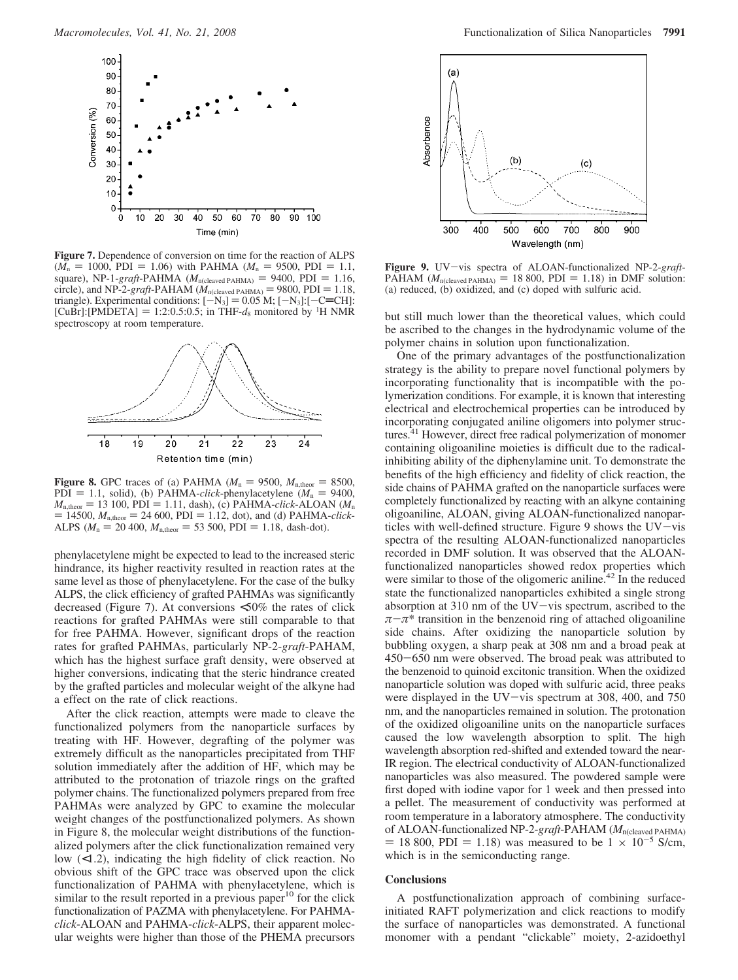

**Figure 7.** Dependence of conversion on time for the reaction of ALPS  $(M_n = 1000, \text{ PDI} = 1.06)$  with PAHMA  $(M_n = 9500, \text{ PDI} = 1.1,$ square), NP-1- $graff$ -PAHMA ( $M_{n$ (cleaved PAHMA) = 9400, PDI = 1.16, circle), and NP-2-*graft*-PAHAM  $(M_{n$ <sup>(cleaved PAHMA) = 9800, PDI = 1.18,</sup> triangle). Experimental conditions:  $[-N_3] = 0.05$  M;  $[-N_3]$ :  $[-C=CH]$ : [CuBr]:[PMDETA] = 1:2:0.5:0.5; in THF- $d_8$  monitored by <sup>1</sup>H NMR spectroscopy at room temperature. spectroscopy at room temperature.



**Figure 8.** GPC traces of (a) PAHMA ( $M_n = 9500$ ,  $M_{n, \text{theor}} = 8500$ , PDI = 1.1, solid), (b) PAHMA-*click*-phenylacetylene ( $M_n$  = 9400,  $M_{n, \text{theor}} = 13 \, 100$ ,  $PDI = 1.11$ , dash), (c) PAHMA-*click*-ALOAN ( $M_n$  $= 14500$ ,  $M_{n,theor} = 24600$ , PDI = 1.12, dot), and (d) PAHMA-*click*-ALPS ( $M_n = 20\,400$ ,  $M_{n,\text{theor}} = 53\,500$ , PDI = 1.18, dash-dot).

phenylacetylene might be expected to lead to the increased steric hindrance, its higher reactivity resulted in reaction rates at the same level as those of phenylacetylene. For the case of the bulky ALPS, the click efficiency of grafted PAHMAs was significantly decreased (Figure 7). At conversions <50% the rates of click reactions for grafted PAHMAs were still comparable to that for free PAHMA. However, significant drops of the reaction rates for grafted PAHMAs, particularly NP-2-*graft*-PAHAM, which has the highest surface graft density, were observed at higher conversions, indicating that the steric hindrance created by the grafted particles and molecular weight of the alkyne had a effect on the rate of click reactions.

After the click reaction, attempts were made to cleave the functionalized polymers from the nanoparticle surfaces by treating with HF. However, degrafting of the polymer was extremely difficult as the nanoparticles precipitated from THF solution immediately after the addition of HF, which may be attributed to the protonation of triazole rings on the grafted polymer chains. The functionalized polymers prepared from free PAHMAs were analyzed by GPC to examine the molecular weight changes of the postfunctionalized polymers. As shown in Figure 8, the molecular weight distributions of the functionalized polymers after the click functionalization remained very low (<1.2), indicating the high fidelity of click reaction. No obvious shift of the GPC trace was observed upon the click functionalization of PAHMA with phenylacetylene, which is similar to the result reported in a previous paper $10$  for the click functionalization of PAZMA with phenylacetylene. For PAHMA*click*-ALOAN and PAHMA-*click*-ALPS, their apparent molecular weights were higher than those of the PHEMA precursors



**Figure 9.** UV-vis spectra of ALOAN-functionalized NP-2-*graft*-PAHAM ( $M_{n$ <sub>(cleaved PAHMA)</sub> = 18 800, PDI = 1.18) in DMF solution: (a) reduced, (b) oxidized, and (c) doped with sulfuric acid.

but still much lower than the theoretical values, which could be ascribed to the changes in the hydrodynamic volume of the polymer chains in solution upon functionalization.

One of the primary advantages of the postfunctionalization strategy is the ability to prepare novel functional polymers by incorporating functionality that is incompatible with the polymerization conditions. For example, it is known that interesting electrical and electrochemical properties can be introduced by incorporating conjugated aniline oligomers into polymer structures.<sup>41</sup> However, direct free radical polymerization of monomer containing oligoaniline moieties is difficult due to the radicalinhibiting ability of the diphenylamine unit. To demonstrate the benefits of the high efficiency and fidelity of click reaction, the side chains of PAHMA grafted on the nanoparticle surfaces were completely functionalized by reacting with an alkyne containing oligoaniline, ALOAN, giving ALOAN-functionalized nanoparticles with well-defined structure. Figure 9 shows the UV-vis spectra of the resulting ALOAN-functionalized nanoparticles recorded in DMF solution. It was observed that the ALOANfunctionalized nanoparticles showed redox properties which were similar to those of the oligomeric aniline.<sup>42</sup> In the reduced state the functionalized nanoparticles exhibited a single strong absorption at 310 nm of the UV-vis spectrum, ascribed to the  $\pi-\pi^*$  transition in the benzenoid ring of attached oligoaniline side chains. After oxidizing the nanoparticle solution by bubbling oxygen, a sharp peak at 308 nm and a broad peak at <sup>450</sup>-650 nm were observed. The broad peak was attributed to the benzenoid to quinoid excitonic transition. When the oxidized nanoparticle solution was doped with sulfuric acid, three peaks were displayed in the UV-vis spectrum at 308, 400, and 750 nm, and the nanoparticles remained in solution. The protonation of the oxidized oligoaniline units on the nanoparticle surfaces caused the low wavelength absorption to split. The high wavelength absorption red-shifted and extended toward the near-IR region. The electrical conductivity of ALOAN-functionalized nanoparticles was also measured. The powdered sample were first doped with iodine vapor for 1 week and then pressed into a pellet. The measurement of conductivity was performed at room temperature in a laboratory atmosphere. The conductivity of ALOAN-functionalized NP-2-graft-PAHAM ( $M_{n$ (cleaved PAHMA)  $= 18800$ , PDI  $= 1.18$ ) was measured to be  $1 \times 10^{-5}$  S/cm, which is in the semiconducting range.

### **Conclusions**

A postfunctionalization approach of combining surfaceinitiated RAFT polymerization and click reactions to modify the surface of nanoparticles was demonstrated. A functional monomer with a pendant "clickable" moiety, 2-azidoethyl